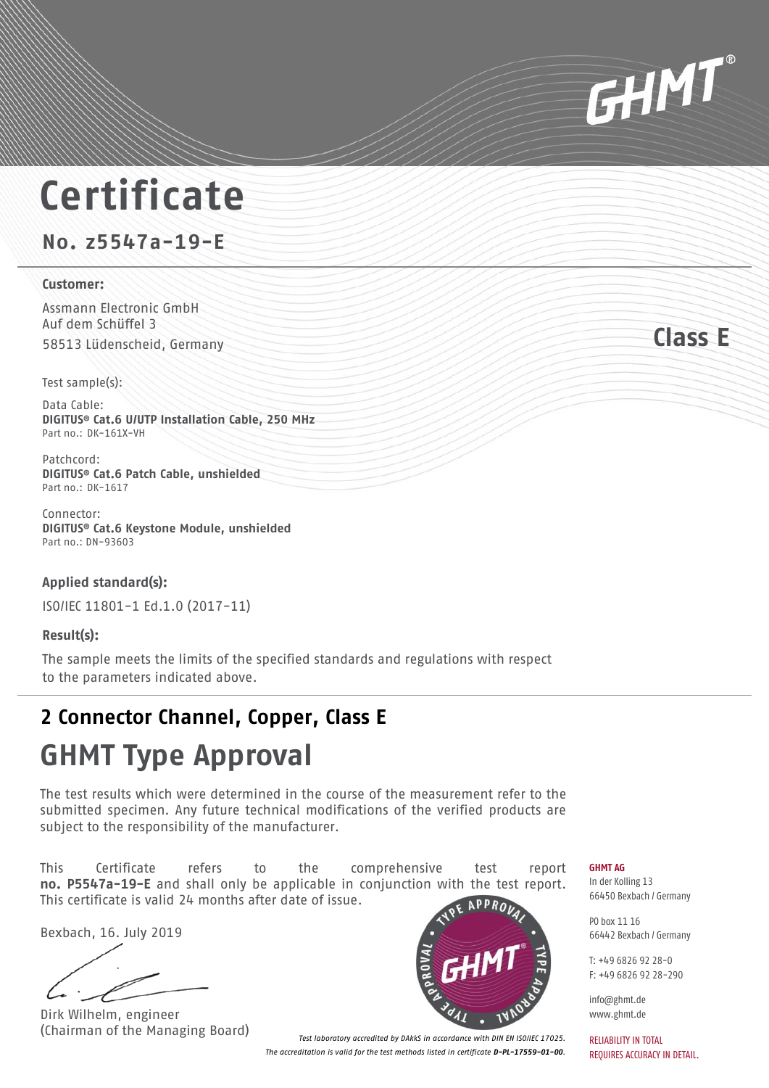# **Certificate**

**No. z5547a-19-E**

#### **Customer:**

Assmann Electronic GmbH Auf dem Schüffel 3 58513 Lüdenscheid, Germany **Class E**

Test sample(s):

Data Cable: **DIGITUS® Cat.6 U/UTP Installation Cable, 250 MHz** Part no.: DK-161X-VH

Patchcord: **DIGITUS® Cat.6 Patch Cable, unshielded** Part no.: DK-1617

Connector: **DIGITUS® Cat.6 Keystone Module, unshielded** Part no.: DN-93603

### **Applied standard(s):**

ISO/IEC 11801-1 Ed.1.0 (2017-11)

### **Result(s):**

The sample meets the limits of the specified standards and regulations with respect to the parameters indicated above.

### **2 Connector Channel, Copper, Class E**

## **GHMT Type Approval**

The test results which were determined in the course of the measurement refer to the submitted specimen. Any future technical modifications of the verified products are subject to the responsibility of the manufacturer.

This Certificate refers to the comprehensive test report **no. P5547a-19-E** and shall only be applicable in conjunction with the test report. This certificate is valid 24 months after date of issue.

Bexbach, 16. July 2019

Dirk Wilhelm, engineer



(Chairman of the Managing Board) *Test laboratory accredited by DAkkS in accordance with DIN EN ISO/IEC 17025. The accreditation is valid for the test methods listed in certificate D-PL-17559-01-00.*



In der Kolling 13 66450 Bexbach / Germany

PO box 11 16 66442 Bexbach / Germany

 $T: +4968269222$ F: +49 6826 92 28-290

info@ghmt.de www.ghmt.de

RELIABILITY IN TOTAL REQUIRES ACCURACY IN DETAIL.